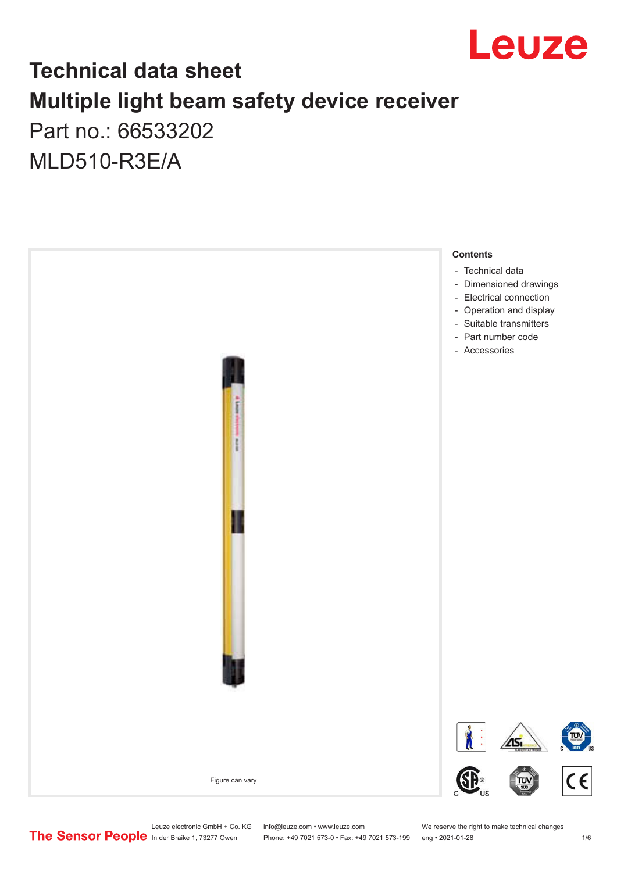

## **Technical data sheet Multiple light beam safety device receiver** Part no.: 66533202

MLD510-R3E/A



Leuze electronic GmbH + Co. KG info@leuze.com • www.leuze.com We reserve the right to make technical changes<br>
The Sensor People in der Braike 1, 73277 Owen Phone: +49 7021 573-0 • Fax: +49 7021 573-199 eng • 2021-01-28

Phone: +49 7021 573-0 • Fax: +49 7021 573-199 eng • 2021-01-28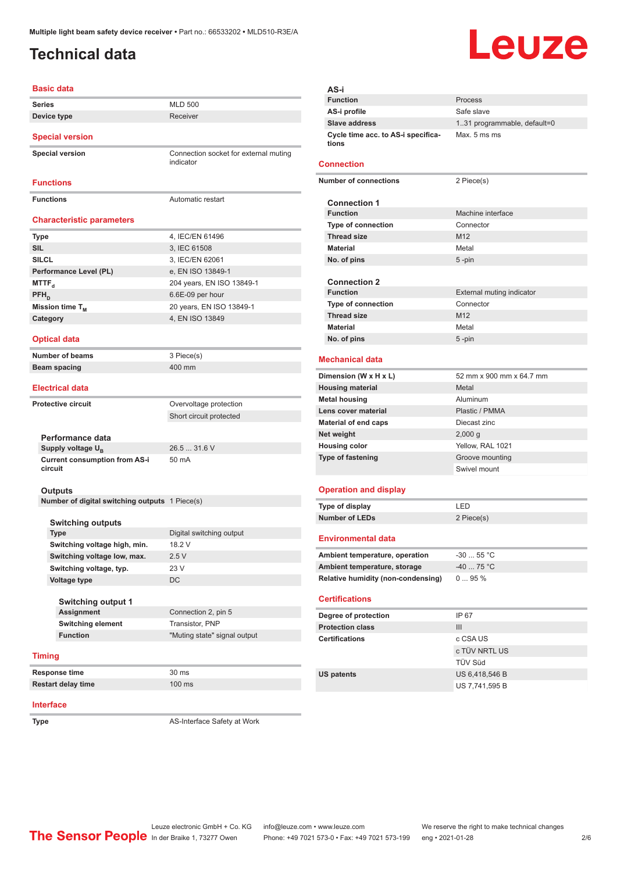#### <span id="page-1-0"></span>**Technical data**

#### **Basic data Series** MLD 500 **Device type Receiver** Receiver **Special version Special version** Connection socket for external muting indicator **Functions Functions Automatic restart Characteristic parameters Type** 4, IEC/EN 61496 **SIL** 3, IEC 61508 **SILCL** 3, IEC/EN 62061 **Performance Level (PL)** e, EN ISO 13849-1 **MTTF**<sub>d</sub> 204 years, EN ISO 13849-1  $PFH<sub>D</sub>$ 6.6E-09 per hour **Mission time T<sub>M</sub>** 20 years, EN ISO 13849-1 **Category** 4, EN ISO 13849 **Optical data Number of beams** 3 Piece(s) **Beam spacing 100 mm** 400 mm **Electrical data Protective circuit COVER COVER COVER COVER COVER COVER COVER COVER COVER COVER COVER COVER COVER COVER COVER COVER COVER COVER COVER COVER COVER COVER COVER COVER COVER COVER COVER COVER COVER COVER COVER COVER COVER CO** Short circuit protected **Performance data** Supply voltage U<sub>B</sub> 26.5 ... 31.6 V **Current consumption from AS-i circuit** 50 mA **Outputs Number of digital switching outputs** 1 Piece(s) **Switching outputs Type** Digital switching output **Switching voltage high, min.** 18.2 V Switching voltage low, max. 2.5 V **Switching voltage, typ.** 23 V **Voltage type** DC **Switching output 1 Assignment** Connection 2, pin 5 **Switching element** Transistor, PNP **Function Example 3** TMuting state" signal output **Timing Response time** 30 ms **Restart delay time** 100 ms **Interface Type** AS-Interface Safety at Work

# Leuze

|                          | AS-i                                            |                              |
|--------------------------|-------------------------------------------------|------------------------------|
|                          | <b>Function</b>                                 | Process                      |
|                          | AS-i profile                                    | Safe slave                   |
|                          | <b>Slave address</b>                            | 1.31 programmable, default=0 |
|                          | Cycle time acc. to AS-i specifica-<br>tions     | Max. 5 ms ms                 |
|                          | Connection                                      |                              |
|                          | <b>Number of connections</b>                    | 2 Piece(s)                   |
|                          | <b>Connection 1</b>                             |                              |
|                          | <b>Function</b>                                 | Machine interface            |
|                          | <b>Type of connection</b><br><b>Thread size</b> | Connector<br>M <sub>12</sub> |
|                          | <b>Material</b>                                 | Metal                        |
|                          | No. of pins                                     | 5-pin                        |
|                          |                                                 |                              |
|                          | <b>Connection 2</b>                             |                              |
|                          | <b>Function</b>                                 | External muting indicator    |
|                          | <b>Type of connection</b>                       | Connector                    |
|                          | <b>Thread size</b>                              | M <sub>12</sub>              |
|                          | <b>Material</b>                                 | Metal                        |
|                          | No. of pins                                     | 5-pin                        |
|                          | Mechanical data                                 |                              |
|                          | Dimension (W x H x L)                           | 52 mm x 900 mm x 64.7 mm     |
|                          | <b>Housing material</b>                         | Metal                        |
|                          | <b>Metal housing</b>                            | Aluminum                     |
|                          | Lens cover material                             | Plastic / PMMA               |
|                          | <b>Material of end caps</b>                     | Diecast zinc                 |
|                          | Net weight                                      | 2,000 g                      |
| <b>Housing color</b>     |                                                 | Yellow, RAL 1021             |
| <b>Type of fastening</b> |                                                 | Groove mounting              |
|                          |                                                 | Swivel mount                 |
|                          | <b>Operation and display</b>                    |                              |
|                          | <b>Type of display</b>                          | LED                          |
|                          | <b>Number of LEDs</b>                           | 2 Piece(s)                   |
|                          |                                                 |                              |
|                          | <b>Environmental data</b>                       |                              |
|                          | Ambient temperature, operation                  | $-30$ 55 °C                  |
|                          | Ambient temperature, storage                    | $-4075 °C$                   |
|                          | Relative humidity (non-condensing)              | 095%                         |
|                          | <b>Certifications</b>                           |                              |
|                          | Degree of protection                            | IP 67                        |
|                          | <b>Protection class</b>                         | Ш                            |
|                          | <b>Certifications</b>                           | c CSA US                     |
|                          |                                                 | c TÜV NRTL US                |
|                          |                                                 | TÜV Süd                      |
| <b>US patents</b>        |                                                 | US 6,418,546 B               |
|                          |                                                 | US 7,741,595 B               |
|                          |                                                 |                              |
|                          |                                                 |                              |
|                          |                                                 |                              |
|                          |                                                 |                              |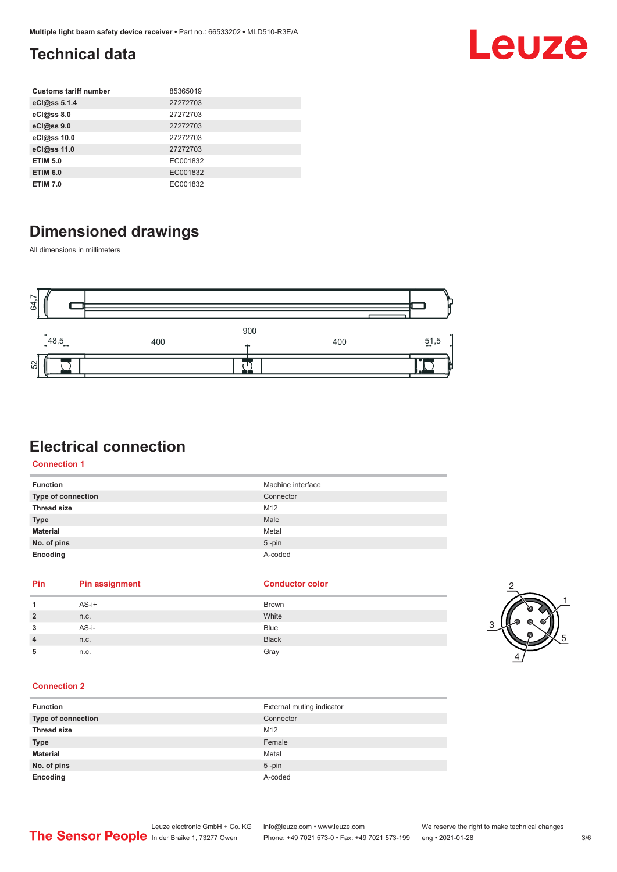#### <span id="page-2-0"></span>**Technical data**

| <b>Customs tariff number</b> | 85365019 |
|------------------------------|----------|
| eCl@ss 5.1.4                 | 27272703 |
| eCl@ss 8.0                   | 27272703 |
| eCl@ss 9.0                   | 27272703 |
| eCl@ss 10.0                  | 27272703 |
| eCl@ss 11.0                  | 27272703 |
| <b>ETIM 5.0</b>              | EC001832 |
| <b>ETIM 6.0</b>              | EC001832 |
| <b>ETIM 7.0</b>              | EC001832 |

### **Dimensioned drawings**

All dimensions in millimeters



#### **Electrical connection**

**Connection 1**

| <b>Function</b>    | Machine interface |
|--------------------|-------------------|
| Type of connection | Connector         |
| <b>Thread size</b> | M12               |
| <b>Type</b>        | Male              |
| <b>Material</b>    | Metal             |
| No. of pins        | $5$ -pin          |
| Encoding           | A-coded           |

**Pin Pin assignment Conductor Conductor Color** 

|                | $AS-i+$ | Brown        |
|----------------|---------|--------------|
| $\overline{2}$ | n.c.    | White        |
| 3              | AS-i-   | <b>Blue</b>  |
| 4              | n.c.    | <b>Black</b> |
| 5              | n.c.    | Gray         |



Leuze

#### **Connection 2**

| <b>Function</b>    | External muting indicator |
|--------------------|---------------------------|
| Type of connection | Connector                 |
| <b>Thread size</b> | M12                       |
| <b>Type</b>        | Female                    |
| <b>Material</b>    | Metal                     |
| No. of pins        | $5$ -pin                  |
| Encoding           | A-coded                   |

Leuze electronic GmbH + Co. KG info@leuze.com • www.leuze.com We reserve the right to make technical changes<br>
The Sensor People in der Braike 1, 73277 Owen Phone: +49 7021 573-0 • Fax: +49 7021 573-199 eng • 2021-01-28

Phone: +49 7021 573-0 • Fax: +49 7021 573-199 eng • 2021-01-28 3/6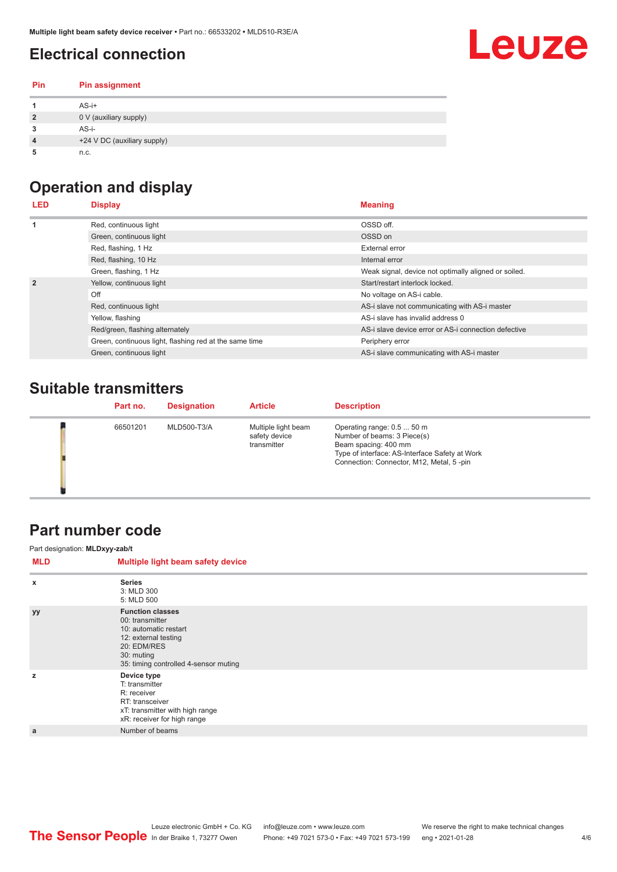#### <span id="page-3-0"></span>**Electrical connection**

#### **Pin Pin assignment**

| .                       |                             |
|-------------------------|-----------------------------|
|                         | $AS-i+$                     |
| $\overline{2}$          | 0 V (auxiliary supply)      |
| 3                       | AS-i-                       |
| $\overline{\mathbf{4}}$ | +24 V DC (auxiliary supply) |
|                         | n.c.                        |

#### **Operation and display**

| LED.           | <b>Display</b>                                         | <b>Meaning</b>                                       |
|----------------|--------------------------------------------------------|------------------------------------------------------|
|                | Red, continuous light                                  | OSSD off.                                            |
|                | Green, continuous light                                | OSSD on                                              |
|                | Red, flashing, 1 Hz                                    | <b>External error</b>                                |
|                | Red, flashing, 10 Hz                                   | Internal error                                       |
|                | Green, flashing, 1 Hz                                  | Weak signal, device not optimally aligned or soiled. |
| $\overline{2}$ | Yellow, continuous light                               | Start/restart interlock locked.                      |
|                | Off                                                    | No voltage on AS-i cable.                            |
|                | Red, continuous light                                  | AS-i slave not communicating with AS-i master        |
|                | Yellow, flashing                                       | AS-i slave has invalid address 0                     |
|                | Red/green, flashing alternately                        | AS-i slave device error or AS-i connection defective |
|                | Green, continuous light, flashing red at the same time | Periphery error                                      |
|                | Green, continuous light                                | AS-i slave communicating with AS-i master            |

#### **Suitable transmitters**

| Part no. | <b>Designation</b> | <b>Article</b>                                      | <b>Description</b>                                                                                                                                                              |
|----------|--------------------|-----------------------------------------------------|---------------------------------------------------------------------------------------------------------------------------------------------------------------------------------|
| 66501201 | <b>MLD500-T3/A</b> | Multiple light beam<br>safety device<br>transmitter | Operating range: 0.5  50 m<br>Number of beams: 3 Piece(s)<br>Beam spacing: 400 mm<br>Type of interface: AS-Interface Safety at Work<br>Connection: Connector, M12, Metal, 5-pin |

#### **Part number code**

Part designation: **MLDxyy-zab/t**

| <b>MLD</b>                | Multiple light beam safety device                                                                                                                                 |
|---------------------------|-------------------------------------------------------------------------------------------------------------------------------------------------------------------|
| $\boldsymbol{\mathsf{x}}$ | <b>Series</b><br>3: MLD 300<br>5: MLD 500                                                                                                                         |
| <b>yy</b>                 | <b>Function classes</b><br>00: transmitter<br>10: automatic restart<br>12: external testing<br>20: EDM/RES<br>30: muting<br>35: timing controlled 4-sensor muting |
| z                         | Device type<br>T: transmitter<br>R: receiver<br>RT: transceiver<br>xT: transmitter with high range<br>xR: receiver for high range                                 |
| a                         | Number of beams                                                                                                                                                   |

Leuze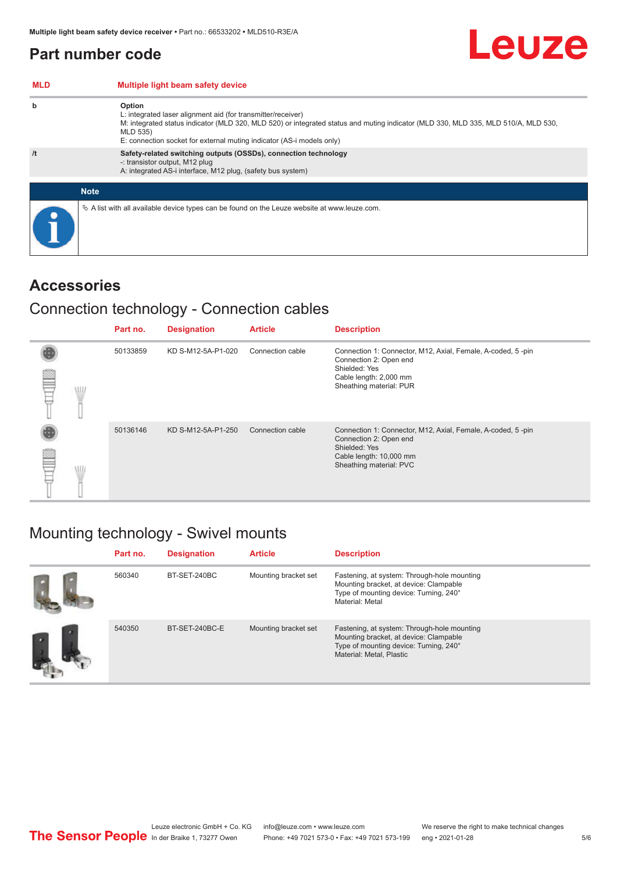#### <span id="page-4-0"></span>**Part number code**

| <b>MLD</b> | Multiple light beam safety device                                                                                                                                                                                                                                                                 |
|------------|---------------------------------------------------------------------------------------------------------------------------------------------------------------------------------------------------------------------------------------------------------------------------------------------------|
| b          | Option<br>L: integrated laser alignment aid (for transmitter/receiver)<br>M: integrated status indicator (MLD 320, MLD 520) or integrated status and muting indicator (MLD 330, MLD 335, MLD 510/A, MLD 530,<br>MLD 535)<br>E: connection socket for external muting indicator (AS-i models only) |
| /t         | Safety-related switching outputs (OSSDs), connection technology<br>-: transistor output, M12 plug<br>A: integrated AS-i interface, M12 plug, (safety bus system)                                                                                                                                  |
|            | <b>Note</b>                                                                                                                                                                                                                                                                                       |
|            | $\&$ A list with all available device types can be found on the Leuze website at www.leuze.com.                                                                                                                                                                                                   |

#### **Accessories**

#### Connection technology - Connection cables

|   | Part no. | <b>Designation</b> | <b>Article</b>   | <b>Description</b>                                                                                                                                           |
|---|----------|--------------------|------------------|--------------------------------------------------------------------------------------------------------------------------------------------------------------|
| ≝ | 50133859 | KD S-M12-5A-P1-020 | Connection cable | Connection 1: Connector, M12, Axial, Female, A-coded, 5-pin<br>Connection 2: Open end<br>Shielded: Yes<br>Cable length: 2,000 mm<br>Sheathing material: PUR  |
| × | 50136146 | KD S-M12-5A-P1-250 | Connection cable | Connection 1: Connector, M12, Axial, Female, A-coded, 5-pin<br>Connection 2: Open end<br>Shielded: Yes<br>Cable length: 10,000 mm<br>Sheathing material: PVC |

#### Mounting technology - Swivel mounts

| Part no. | <b>Designation</b> | <b>Article</b>       | <b>Description</b>                                                                                                                                          |
|----------|--------------------|----------------------|-------------------------------------------------------------------------------------------------------------------------------------------------------------|
| 560340   | BT-SET-240BC       | Mounting bracket set | Fastening, at system: Through-hole mounting<br>Mounting bracket, at device: Clampable<br>Type of mounting device: Turning, 240°<br>Material: Metal          |
| 540350   | BT-SET-240BC-E     | Mounting bracket set | Fastening, at system: Through-hole mounting<br>Mounting bracket, at device: Clampable<br>Type of mounting device: Turning, 240°<br>Material: Metal, Plastic |